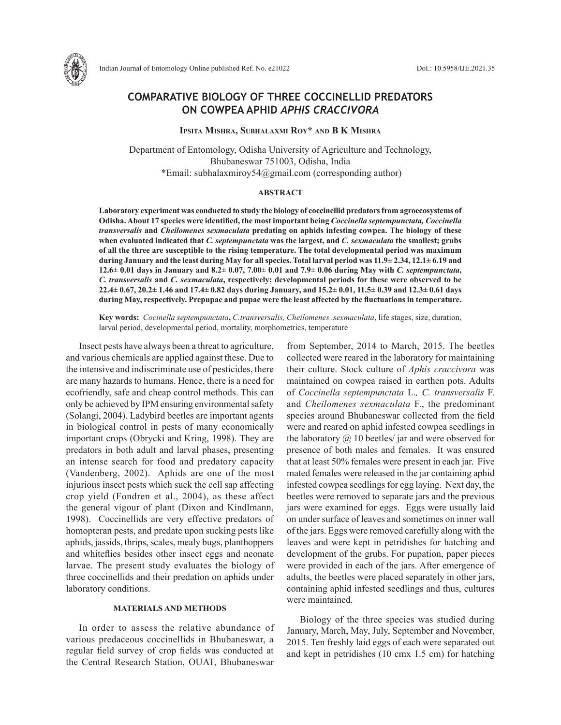

# **COMPARATIVE BIOLOGY OF THREE COCCINELLID PREDATORS ON COWPEA APHID** *APHIS CRACCIVORA*

**Ipsita Mishra, Subhalaxmi Roy\* and B K Mishra**

Department of Entomology, Odisha University of Agriculture and Technology, Bhubaneswar 751003, Odisha, India \*Email: subhalaxmiroy54@gmail.com (corresponding author)

### **ABSTRACT**

**Laboratory experiment was conducted to study the biology of coccinellid predators from agroecosystems of Odisha. About 17 species were identified, the most important being** *Coccinella septempunctata, Coccinella transversalis* **and** *Cheilomenes sexmaculata* **predating on aphids infesting cowpea. The biology of these when evaluated indicated that** *C. septempunctata* **was the largest, and** *C. sexmaculata* **the smallest; grubs of all the three are susceptible to the rising temperature. The total developmental period was maximum during January and the least during May for all species. Total larval period was 11.9± 2.34, 12.1± 6.19 and 12.6± 0.01 days in January and 8.2± 0.07, 7.00± 0.01 and 7.9± 0.06 during May with** *C. septempunctata***,**  *C. transversalis* **and** *C. sexmaculata***, respectively; developmental periods for these were observed to be 22.4± 0.67, 20.2± 1.46 and 17.4± 0.82 days during January, and 15.2± 0.01, 11.5± 0.39 and 12.3± 0.61 days during May, respectively. Prepupae and pupae were the least affected by the fluctuations in temperature.** 

**Key words:** *Cocinella septempunctata***,** *C.transversalis, Cheilomenes .sexmaculata*, life stages, size, duration, larval period, developmental period, mortality, morphometrics, temperature

Insect pests have always been a threat to agriculture, and various chemicals are applied against these. Due to the intensive and indiscriminate use of pesticides, there are many hazards to humans. Hence, there is a need for ecofriendly, safe and cheap control methods. This can only be achieved by IPM ensuring environmental safety (Solangi, 2004). Ladybird beetles are important agents in biological control in pests of many economically important crops (Obrycki and Kring, 1998). They are predators in both adult and larval phases, presenting an intense search for food and predatory capacity (Vandenberg, 2002). Aphids are one of the most injurious insect pests which suck the cell sap affecting crop yield (Fondren et al., 2004), as these affect the general vigour of plant (Dixon and Kindlmann, 1998). Coccinellids are very effective predators of homopteran pests, and predate upon sucking pests like aphids, jassids, thrips, scales, mealy bugs, planthoppers and whiteflies besides other insect eggs and neonate larvae. The present study evaluates the biology of three coccinellids and their predation on aphids under laboratory conditions.

### **MATERIALS AND METHODS**

In order to assess the relative abundance of various predaceous coccinellids in Bhubaneswar, a regular field survey of crop fields was conducted at the Central Research Station, OUAT, Bhubaneswar from September, 2014 to March, 2015. The beetles collected were reared in the laboratory for maintaining their culture. Stock culture of *Aphis craccivora* was maintained on cowpea raised in earthen pots. Adults of *Coccinella septempunctata* L.*, C. transversalis* F. and *Cheilomenes sexmaculata* F., the predominant species around Bhubaneswar collected from the field were and reared on aphid infested cowpea seedlings in the laboratory  $\omega$  10 beetles/ jar and were observed for presence of both males and females. It was ensured that at least 50% females were present in each jar. Five mated females were released in the jar containing aphid infested cowpea seedlings for egg laying. Next day, the beetles were removed to separate jars and the previous jars were examined for eggs. Eggs were usually laid on under surface of leaves and sometimes on inner wall of the jars. Eggs were removed carefully along with the leaves and were kept in petridishes for hatching and development of the grubs. For pupation, paper pieces were provided in each of the jars. After emergence of adults, the beetles were placed separately in other jars, containing aphid infested seedlings and thus, cultures were maintained.

Biology of the three species was studied during January, March, May, July, September and November, 2015. Ten freshly laid eggs of each were separated out and kept in petridishes (10 cmx 1.5 cm) for hatching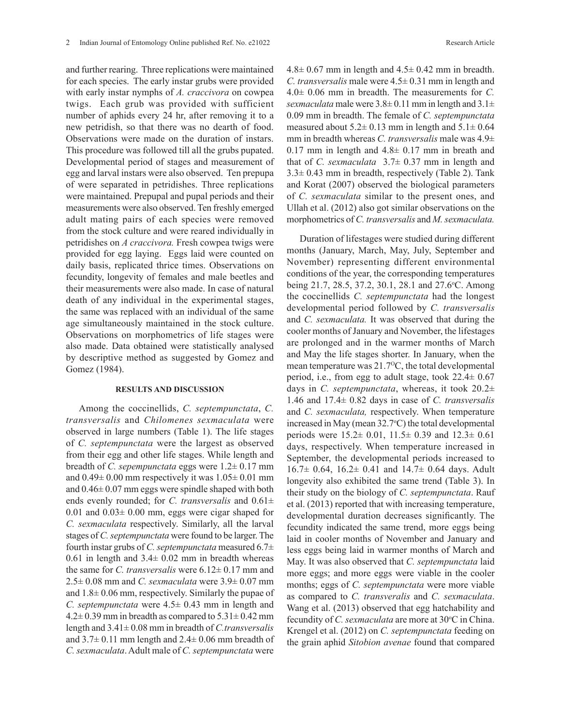and further rearing. Three replications were maintained for each species. The early instar grubs were provided with early instar nymphs of *A. craccivora* on cowpea twigs. Each grub was provided with sufficient number of aphids every 24 hr, after removing it to a new petridish, so that there was no dearth of food. Observations were made on the duration of instars. This procedure was followed till all the grubs pupated. Developmental period of stages and measurement of egg and larval instars were also observed. Ten prepupa of were separated in petridishes. Three replications were maintained. Prepupal and pupal periods and their measurements were also observed. Ten freshly emerged adult mating pairs of each species were removed from the stock culture and were reared individually in petridishes on *A craccivora.* Fresh cowpea twigs were provided for egg laying. Eggs laid were counted on daily basis, replicated thrice times. Observations on fecundity, longevity of females and male beetles and their measurements were also made. In case of natural death of any individual in the experimental stages, the same was replaced with an individual of the same age simultaneously maintained in the stock culture. Observations on morphometrics of life stages were also made. Data obtained were statistically analysed by descriptive method as suggested by Gomez and Gomez (1984).

#### **RESULTS AND DISCUSSION**

Among the coccinellids, *C. septempunctata*, *C. transversalis* and *Chilomenes sexmaculata* were observed in large numbers (Table 1). The life stages of *C. septempunctata* were the largest as observed from their egg and other life stages. While length and breadth of *C. sepempunctata* eggs were 1.2± 0.17 mm and  $0.49\pm 0.00$  mm respectively it was  $1.05\pm 0.01$  mm and 0.46± 0.07 mm eggs were spindle shaped with both ends evenly rounded; for *C. transversalis* and 0.61±  $0.01$  and  $0.03 \pm 0.00$  mm, eggs were cigar shaped for *C. sexmaculata* respectively. Similarly, all the larval stages of *C. septempunctata* were found to be larger. The fourth instar grubs of *C. septempunctata* measured 6.7± 0.61 in length and  $3.4\pm 0.02$  mm in breadth whereas the same for *C. transversalis* were 6.12± 0.17 mm and 2.5± 0.08 mm and *C. sexmaculata* were 3.9± 0.07 mm and 1.8± 0.06 mm, respectively. Similarly the pupae of *C. septempunctata* were 4.5± 0.43 mm in length and  $4.2 \pm 0.39$  mm in breadth as compared to  $5.31 \pm 0.42$  mm length and 3.41± 0.08 mm in breadth of *C.transversalis*  and  $3.7\pm 0.11$  mm length and  $2.4\pm 0.06$  mm breadth of *C. sexmaculata*. Adult male of *C. septempunctata* were

 $4.8 \pm 0.67$  mm in length and  $4.5 \pm 0.42$  mm in breadth. *C. transversalis* male were 4.5± 0.31 mm in length and 4.0± 0.06 mm in breadth. The measurements for *C. sexmaculata* male were  $3.8\pm 0.11$  mm in length and  $3.1\pm$ 0.09 mm in breadth. The female of *C. septempunctata* measured about  $5.2 \pm 0.13$  mm in length and  $5.1 \pm 0.64$ mm in breadth whereas *C. transversalis* male was 4.9± 0.17 mm in length and  $4.8 \pm 0.17$  mm in breath and that of *C. sexmaculata* 3.7± 0.37 mm in length and  $3.3\pm0.43$  mm in breadth, respectively (Table 2). Tank and Korat (2007) observed the biological parameters of *C. sexmaculata* similar to the present ones, and Ullah et al. (2012) also got similar observations on the morphometrics of *C. transversalis* and *M. sexmaculata.*

Duration of lifestages were studied during different months (January, March, May, July, September and November) representing different environmental conditions of the year, the corresponding temperatures being 21.7, 28.5, 37.2, 30.1, 28.1 and 27.6 °C. Among the coccinellids *C. septempunctata* had the longest developmental period followed by *C. transversalis* and *C. sexmaculata.* It was observed that during the cooler months of January and November, the lifestages are prolonged and in the warmer months of March and May the life stages shorter. In January, when the mean temperature was  $21.7\text{°C}$ , the total developmental period, i.e., from egg to adult stage, took 22.4± 0.67 days in *C. septempunctata*, whereas, it took 20.2± 1.46 and 17.4± 0.82 days in case of *C. transversalis* and *C. sexmaculata,* respectively. When temperature increased in May (mean  $32.7^{\circ}$ C) the total developmental periods were 15.2± 0.01, 11.5± 0.39 and 12.3± 0.61 days, respectively. When temperature increased in September, the developmental periods increased to  $16.7\pm 0.64$ ,  $16.2\pm 0.41$  and  $14.7\pm 0.64$  days. Adult longevity also exhibited the same trend (Table 3). In their study on the biology of *C. septempunctata*. Rauf et al. (2013) reported that with increasing temperature, developmental duration decreases significantly. The fecundity indicated the same trend, more eggs being laid in cooler months of November and January and less eggs being laid in warmer months of March and May. It was also observed that *C. septempunctata* laid more eggs; and more eggs were viable in the cooler months; eggs of *C. septempunctata* were more viable as compared to *C. transveralis* and *C. sexmaculata*. Wang et al. (2013) observed that egg hatchability and fecundity of *C. sexmaculata* are more at 30°C in China. Krengel et al. (2012) on *C. septempunctata* feeding on the grain aphid *Sitobion avenae* found that compared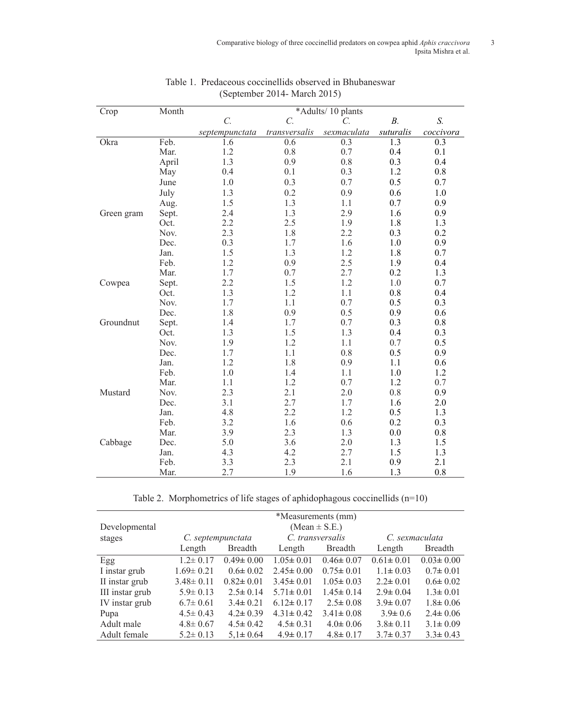| Crop       | Month |                  |                 | *Adults/10 plants |                  |                  |
|------------|-------|------------------|-----------------|-------------------|------------------|------------------|
|            |       | $\overline{C}$ . | $\mathcal{C}$ . | $\mathcal{C}$ .   | $B$ .            | S.               |
|            |       | septempunctata   | transversalis   | sexmaculata       | suturalis        | coccivora        |
| Okra       | Feb.  | 1.6              | 0.6             | 0.3               | $\overline{1.3}$ | $\overline{0.3}$ |
|            | Mar.  | 1.2              | 0.8             | 0.7               | 0.4              | 0.1              |
|            | April | 1.3              | 0.9             | 0.8               | 0.3              | 0.4              |
|            | May   | 0.4              | 0.1             | 0.3               | 1.2              | 0.8              |
|            | June  | 1.0              | 0.3             | 0.7               | 0.5              | 0.7              |
|            | July  | 1.3              | 0.2             | 0.9               | 0.6              | $1.0\,$          |
|            | Aug.  | 1.5              | 1.3             | 1.1               | 0.7              | 0.9              |
| Green gram | Sept. | 2.4              | 1.3             | 2.9               | 1.6              | 0.9              |
|            | Oct.  | 2.2              | 2.5             | 1.9               | 1.8              | 1.3              |
|            | Nov.  | 2.3              | 1.8             | 2.2               | 0.3              | 0.2              |
|            | Dec.  | 0.3              | 1.7             | 1.6               | 1.0              | 0.9              |
|            | Jan.  | 1.5              | 1.3             | 1.2               | 1.8              | 0.7              |
|            | Feb.  | 1.2              | 0.9             | 2.5               | 1.9              | 0.4              |
|            | Mar.  | 1.7              | 0.7             | 2.7               | 0.2              | 1.3              |
| Cowpea     | Sept. | 2.2              | 1.5             | 1.2               | 1.0              | 0.7              |
|            | Oct.  | 1.3              | 1.2             | 1.1               | 0.8              | 0.4              |
|            | Nov.  | 1.7              | 1.1             | 0.7               | 0.5              | 0.3              |
|            | Dec.  | 1.8              | 0.9             | 0.5               | 0.9              | 0.6              |
| Groundnut  | Sept. | 1.4              | 1.7             | 0.7               | 0.3              | $0.8\,$          |
|            | Oct.  | 1.3              | 1.5             | 1.3               | 0.4              | 0.3              |
|            | Nov.  | 1.9              | 1.2             | 1.1               | 0.7              | 0.5              |
|            | Dec.  | 1.7              | 1.1             | 0.8               | 0.5              | 0.9              |
|            | Jan.  | 1.2              | 1.8             | 0.9               | 1.1              | 0.6              |
|            | Feb.  | 1.0              | 1.4             | 1.1               | 1.0              | 1.2              |
|            | Mar.  | 1.1              | 1.2             | 0.7               | 1.2              | 0.7              |
| Mustard    | Nov.  | 2.3              | 2.1             | 2.0               | 0.8              | 0.9              |
|            | Dec.  | 3.1              | 2.7             | 1.7               | 1.6              | 2.0              |
|            | Jan.  | 4.8              | 2.2             | 1.2               | 0.5              | 1.3              |
|            | Feb.  | 3.2              | 1.6             | 0.6               | 0.2              | 0.3              |
|            | Mar.  | 3.9              | 2.3             | 1.3               | 0.0              | 0.8              |
| Cabbage    | Dec.  | 5.0              | 3.6             | 2.0               | 1.3              | 1.5              |
|            | Jan.  | 4.3              | 4.2             | 2.7               | 1.5              | 1.3              |
|            | Feb.  | 3.3              | 2.3             | 2.1               | 0.9              | 2.1              |
|            | Mar.  | 2.7              | 1.9             | 1.6               | 1.3              | 0.8              |

## Table 1. Predaceous coccinellids observed in Bhubaneswar (September 2014- March 2015)

Table 2. Morphometrics of life stages of aphidophagous coccinellids (n=10)

|                 |                 |                   | *Measurements (mm) |                 |                 |                 |
|-----------------|-----------------|-------------------|--------------------|-----------------|-----------------|-----------------|
| Developmental   |                 |                   | $(Mean \pm S.E.)$  |                 |                 |                 |
| stages          |                 | C. septempunctata | C. transversalis   |                 | C. sexmaculata  |                 |
|                 | Length          | <b>Breadth</b>    | Length             | <b>Breadth</b>  | Length          | <b>Breadth</b>  |
| Egg             | $1.2 \pm 0.17$  | $0.49 \pm 0.00$   | $1.05 \pm 0.01$    | $0.46 \pm 0.07$ | $0.61 \pm 0.01$ | $0.03 \pm 0.00$ |
| I instar grub   | $1.69 \pm 0.21$ | $0.6 \pm 0.02$    | $2.45 \pm 0.00$    | $0.75 \pm 0.01$ | $1.1 \pm 0.03$  | $0.7 \pm 0.01$  |
| II instar grub  | $3.48 \pm 0.11$ | $0.82 \pm 0.01$   | $3.45 \pm 0.01$    | $1.05 \pm 0.03$ | $2.2 \pm 0.01$  | $0.6 \pm 0.02$  |
| III instar grub | $5.9 \pm 0.13$  | $2.5 \pm 0.14$    | $5.71 \pm 0.01$    | $1.45 \pm 0.14$ | $2.9 \pm 0.04$  | $1.3 \pm 0.01$  |
| IV instar grub  | $6.7 \pm 0.61$  | $3.4 \pm 0.21$    | $6.12 \pm 0.17$    | $2.5 \pm 0.08$  | $3.9 \pm 0.07$  | $1.8 \pm 0.06$  |
| Pupa            | $4.5 \pm 0.43$  | $4.2 \pm 0.39$    | $4.31 \pm 0.42$    | $3.41 \pm 0.08$ | $3.9 \pm 0.6$   | $2.4 \pm 0.06$  |
| Adult male      | $4.8 \pm 0.67$  | $4.5 \pm 0.42$    | $4.5 \pm 0.31$     | $4.0 \pm 0.06$  | $3.8 \pm 0.11$  | $3.1 \pm 0.09$  |
| Adult female    | $5.2 \pm 0.13$  | $5,1 \pm 0.64$    | $4.9 \pm 0.17$     | $4.8 \pm 0.17$  | $3.7 \pm 0.37$  | $3.3 \pm 0.43$  |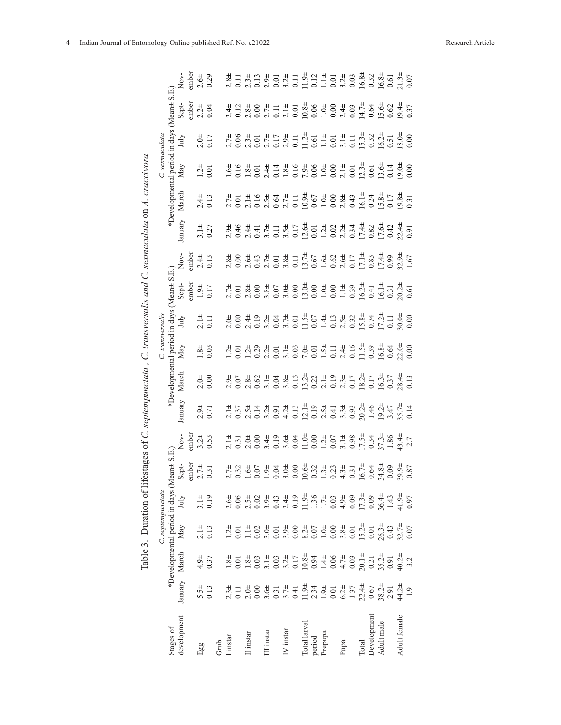|                  |                |                |                | Table 3. Duration of lifes                 |                |                | tages of $C$ . septempunctata, $C$ . transversalis and $C$ . sexmaculata on $A$ . craccivora |                  |                         |                   |                      |                |                                                                                           |                       |                         |                   |                                              |                |
|------------------|----------------|----------------|----------------|--------------------------------------------|----------------|----------------|----------------------------------------------------------------------------------------------|------------------|-------------------------|-------------------|----------------------|----------------|-------------------------------------------------------------------------------------------|-----------------------|-------------------------|-------------------|----------------------------------------------|----------------|
|                  |                |                |                | C. septempunctata                          |                |                |                                                                                              |                  | C. transversalis        |                   |                      |                |                                                                                           |                       | C. sexmaculata          |                   |                                              |                |
| Stages of        |                |                |                | *Developmental period in days (Mean± S.E.) |                |                |                                                                                              |                  | *Developmental period 1 |                   | in days (Mean± S.E.) |                |                                                                                           | *Developmental period |                         | in days (Mean± S. |                                              |                |
| development      | January        | March          | May            | July                                       | Sept-          |                | lanuary                                                                                      | March            | May                     | July              | Sept-<br>:mber       | Χoν.           | January                                                                                   | March                 | $_{\mathrm{May}}$       | July              | Sept-<br>mber                                |                |
|                  |                |                |                |                                            | ember          | adm            |                                                                                              |                  |                         |                   |                      | ember          |                                                                                           |                       |                         |                   |                                              | ember          |
| Egg              |                |                |                |                                            | $2.7±$<br>0.31 |                | $2.94$<br>0.71                                                                               | $\frac{1}{2.06}$ | $1.84$<br>0.03          | $\frac{11}{0.11}$ | $1.94$<br>0.17       | $2.44$<br>0.13 |                                                                                           |                       | $\frac{1}{2}$ .<br>0.01 | $2.04$<br>0.17    | $2.\overline{24}$<br>0.04                    |                |
|                  | $5.54$<br>0.13 | $4.94$<br>0.37 | $2.14$<br>0.13 | $\frac{3.14}{0.19}$                        |                | $3.24$<br>0.53 |                                                                                              |                  |                         |                   |                      |                | $3.14$<br>0.27                                                                            | $2.44$<br>0.13        |                         |                   |                                              | $2.64$<br>0.29 |
|                  |                |                |                |                                            |                |                |                                                                                              |                  |                         |                   |                      |                |                                                                                           |                       |                         |                   |                                              |                |
| Grub<br>I instar |                |                |                |                                            |                |                |                                                                                              |                  |                         |                   |                      |                |                                                                                           |                       |                         |                   |                                              |                |
|                  |                |                |                |                                            |                |                |                                                                                              |                  |                         |                   |                      |                |                                                                                           |                       |                         |                   |                                              |                |
| II instar        |                |                |                |                                            |                |                |                                                                                              |                  |                         |                   |                      |                | 2<br>9 3 4 4 5 4 5 4 5 4 6 7 8 4 9 4 8 4 9 4 7 8<br>9 4 4 5 4 5 4 5 4 6 7 8 4 9 4 8 4 7 8 |                       |                         |                   | 21230211123691024242422442342242242242242242 |                |
|                  |                |                |                |                                            |                |                |                                                                                              |                  |                         |                   |                      |                |                                                                                           |                       |                         |                   |                                              |                |
| III instar       |                |                |                |                                            |                |                |                                                                                              |                  |                         |                   |                      |                |                                                                                           |                       |                         |                   |                                              |                |
|                  |                |                |                |                                            |                |                |                                                                                              |                  |                         |                   |                      |                |                                                                                           |                       |                         |                   |                                              |                |
| IV instar        |                |                |                |                                            |                |                |                                                                                              |                  |                         |                   |                      |                |                                                                                           |                       |                         |                   |                                              |                |
|                  |                |                |                |                                            |                |                |                                                                                              |                  |                         |                   |                      |                |                                                                                           |                       |                         |                   |                                              |                |
| Total larval     |                |                |                |                                            |                |                |                                                                                              |                  |                         |                   |                      |                |                                                                                           |                       |                         |                   |                                              |                |
| period           |                |                |                |                                            |                |                |                                                                                              |                  |                         |                   |                      |                |                                                                                           |                       |                         |                   |                                              |                |
| Prepupa          |                |                |                |                                            |                |                |                                                                                              |                  |                         |                   |                      |                |                                                                                           |                       |                         |                   |                                              |                |
|                  |                |                |                |                                            |                |                |                                                                                              |                  |                         |                   |                      |                |                                                                                           |                       |                         |                   |                                              |                |
| Pupa             |                |                |                |                                            |                |                |                                                                                              |                  |                         |                   |                      |                |                                                                                           |                       |                         |                   |                                              |                |
|                  |                |                |                |                                            |                |                |                                                                                              |                  |                         |                   |                      |                |                                                                                           |                       |                         |                   |                                              |                |
| Total            |                |                |                |                                            |                |                |                                                                                              |                  |                         |                   |                      |                |                                                                                           |                       |                         |                   |                                              |                |
| Development      |                |                |                |                                            |                |                |                                                                                              |                  |                         |                   |                      |                |                                                                                           |                       |                         |                   |                                              |                |
| Adult male       |                |                |                |                                            |                |                |                                                                                              |                  |                         |                   |                      |                |                                                                                           |                       |                         |                   |                                              |                |
|                  |                |                |                |                                            |                |                |                                                                                              |                  |                         |                   |                      |                |                                                                                           |                       |                         |                   |                                              |                |
| Adult female     |                |                |                |                                            |                |                |                                                                                              |                  |                         |                   |                      |                |                                                                                           |                       |                         |                   |                                              |                |
|                  |                |                |                |                                            |                |                |                                                                                              |                  |                         |                   |                      |                |                                                                                           |                       |                         |                   |                                              |                |
|                  |                |                |                |                                            |                |                |                                                                                              |                  |                         |                   |                      |                |                                                                                           |                       |                         |                   |                                              |                |

transversalis and  $C$  sexmaculata on  $A$  craccivora  $\zeta$ Table 3 Duration of lifestages of C, septempunctata